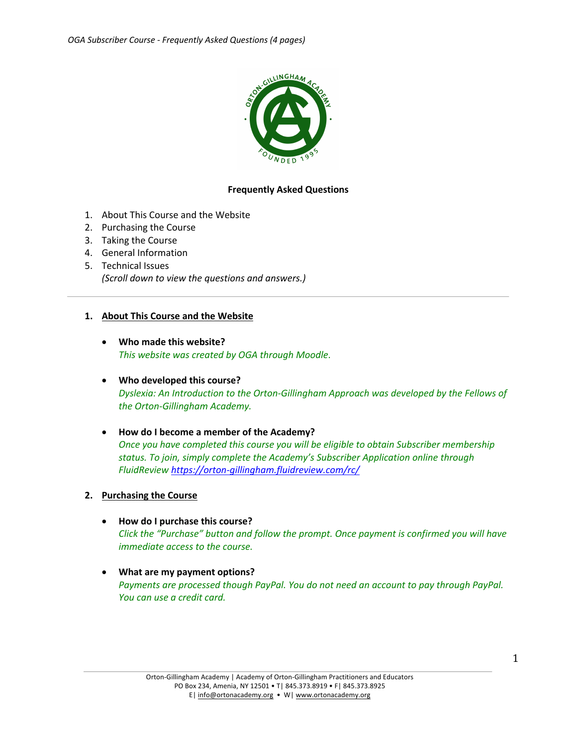

## **Frequently Asked Questions**

- 1. About This Course and the Website
- 2. Purchasing the Course
- 3. Taking the Course
- 4. General Information
- 5. Technical Issues *(Scroll down to view the questions and answers.)*

### **1. About This Course and the Website**

- **Who made this website?** *This website was created by OGA through Moodle*.
- **Who developed this course?** *Dyslexia: An Introduction to the Orton-Gillingham Approach was developed by the Fellows of the Orton-Gillingham Academy.*
- **How do I become a member of the Academy?** *Once you have completed this course you will be eligible to obtain Subscriber membership status. To join, simply complete the Academy's Subscriber Application online through FluidReview https://orton-gillingham.fluidreview.com/rc/*

### **2. Purchasing the Course**

- **How do I purchase this course?** *Click the "Purchase" button and follow the prompt. Once payment is confirmed you will have immediate access to the course.*
- **What are my payment options?** *Payments are processed though PayPal. You do not need an account to pay through PayPal. You can use a credit card.*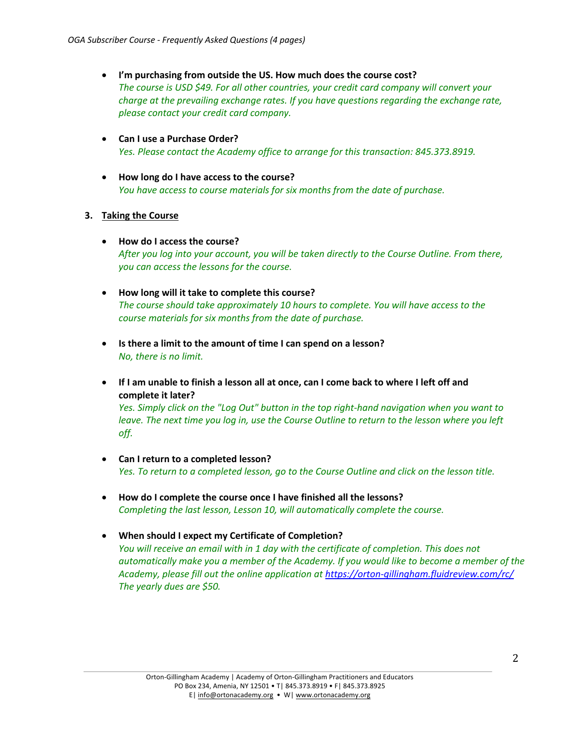- **I'm purchasing from outside the US. How much does the course cost?** *The course is USD \$49. For all other countries, your credit card company will convert your charge at the prevailing exchange rates. If you have questions regarding the exchange rate, please contact your credit card company.*
- **Can I use a Purchase Order?**  *Yes. Please contact the Academy office to arrange for this transaction: 845.373.8919.*
- **How long do I have access to the course?** *You have access to course materials for six months from the date of purchase.*

# **3. Taking the Course**

- **How do I access the course?** *After you log into your account, you will be taken directly to the Course Outline. From there, you can access the lessons for the course.*
- **How long will it take to complete this course?** *The course should take approximately 10 hours to complete. You will have access to the course materials for six months from the date of purchase.*
- **Is there a limit to the amount of time I can spend on a lesson?** *No, there is no limit.*
- **If I am unable to finish a lesson all at once, can I come back to where I left off and complete it later?**

*Yes. Simply click on the "Log Out" button in the top right-hand navigation when you want to*  leave. The next time you log in, use the Course Outline to return to the lesson where you left *off.*

- **Can I return to a completed lesson?** *Yes. To return to a completed lesson, go to the Course Outline and click on the lesson title.*
- **How do I complete the course once I have finished all the lessons?**  *Completing the last lesson, Lesson 10, will automatically complete the course.*
- **When should I expect my Certificate of Completion?** *You will receive an email with in 1 day with the certificate of completion. This does not automatically make you a member of the Academy. If you would like to become a member of the Academy, please fill out the online application at https://orton-gillingham.fluidreview.com/rc/ The yearly dues are \$50.*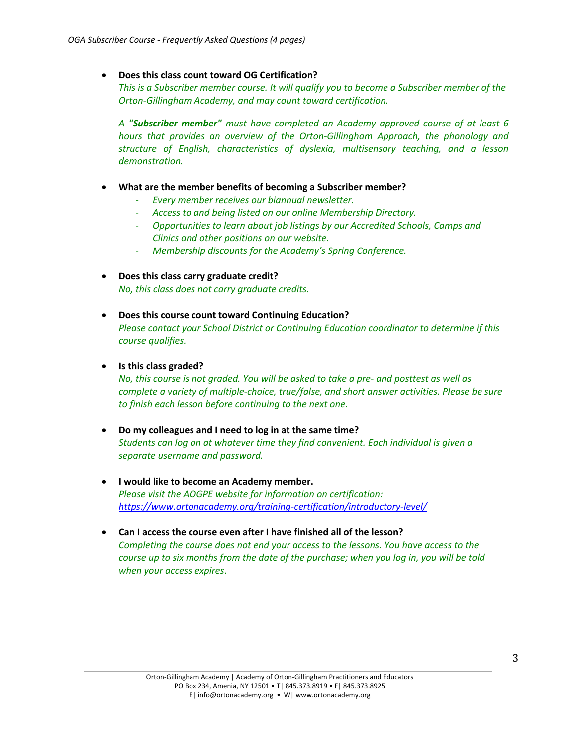## • **Does this class count toward OG Certification?**

*This is a Subscriber member course. It will qualify you to become a Subscriber member of the Orton-Gillingham Academy, and may count toward certification.* 

*A "Subscriber member" must have completed an Academy approved course of at least 6 hours that provides an overview of the Orton-Gillingham Approach, the phonology and structure of English, characteristics of dyslexia, multisensory teaching, and a lesson demonstration.* 

- **What are the member benefits of becoming a Subscriber member?** 
	- *Every member receives our biannual newsletter.*
	- *Access to and being listed on our online Membership Directory.*
	- *Opportunities to learn about job listings by our Accredited Schools, Camps and Clinics and other positions on our website.*
	- *Membership discounts for the Academy's Spring Conference.*
- **Does this class carry graduate credit?** *No, this class does not carry graduate credits.*
- **Does this course count toward Continuing Education?** *Please contact your School District or Continuing Education coordinator to determine if this course qualifies.*

### • **Is this class graded?**

*No, this course is not graded. You will be asked to take a pre- and posttest as well as complete a variety of multiple-choice, true/false, and short answer activities. Please be sure to finish each lesson before continuing to the next one.* 

- **Do my colleagues and I need to log in at the same time?** *Students can log on at whatever time they find convenient. Each individual is given a separate username and password.*
- **I would like to become an Academy member.** *Please visit the AOGPE website for information on certification: https://www.ortonacademy.org/training-certification/introductory-level/*
- **Can I access the course even after I have finished all of the lesson?** *Completing the course does not end your access to the lessons. You have access to the course up to six months from the date of the purchase; when you log in, you will be told when your access expires*.